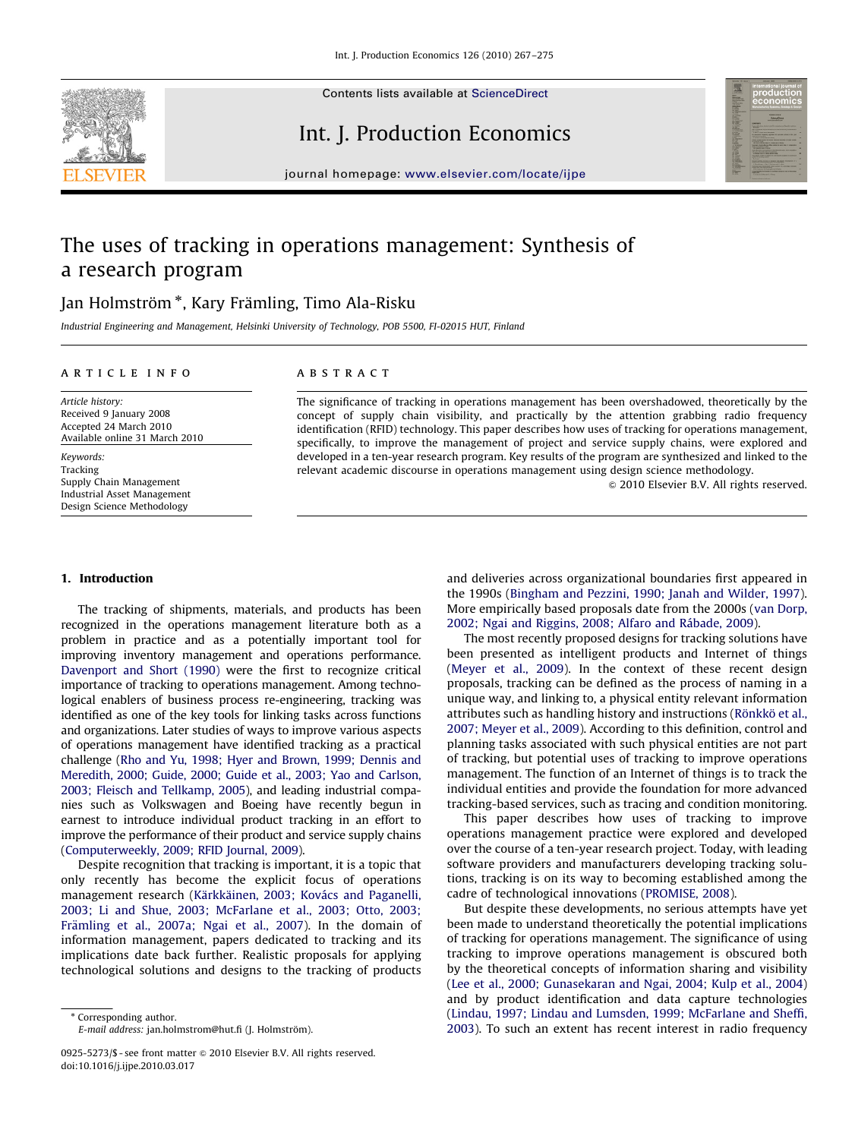

Contents lists available at ScienceDirect

## Int. J. Production Economics



journal homepage: <www.elsevier.com/locate/ijpe>

## The uses of tracking in operations management: Synthesis of a research program

## Jan Holmström \*, Kary Främling, Timo Ala-Risku

Industrial Engineering and Management, Helsinki University of Technology, POB 5500, FI-02015 HUT, Finland

### article info

Article history: Received 9 January 2008 Accepted 24 March 2010 Available online 31 March 2010

Keywords: Tracking Supply Chain Management Industrial Asset Management Design Science Methodology

### ABSTRACT

The significance of tracking in operations management has been overshadowed, theoretically by the concept of supply chain visibility, and practically by the attention grabbing radio frequency identification (RFID) technology. This paper describes how uses of tracking for operations management, specifically, to improve the management of project and service supply chains, were explored and developed in a ten-year research program. Key results of the program are synthesized and linked to the relevant academic discourse in operations management using design science methodology.

 $© 2010 Elsevier B.V. All rights reserved.$ 

### 1. Introduction

The tracking of shipments, materials, and products has been recognized in the operations management literature both as a problem in practice and as a potentially important tool for improving inventory management and operations performance. [Davenport and Short \(1990\)](#page--1-0) were the first to recognize critical importance of tracking to operations management. Among technological enablers of business process re-engineering, tracking was identified as one of the key tools for linking tasks across functions and organizations. Later studies of ways to improve various aspects of operations management have identified tracking as a practical challenge [\(Rho and Yu, 1998; Hyer and Brown, 1999; Dennis and](#page--1-0) [Meredith, 2000; Guide, 2000; Guide et al., 2003; Yao and Carlson,](#page--1-0) [2003; Fleisch and Tellkamp, 2005\)](#page--1-0), and leading industrial companies such as Volkswagen and Boeing have recently begun in earnest to introduce individual product tracking in an effort to improve the performance of their product and service supply chains ([Computerweekly, 2009; RFID Journal, 2009\)](#page--1-0).

Despite recognition that tracking is important, it is a topic that only recently has become the explicit focus of operations management research [\(K](#page--1-0)ä[rkk](#page--1-0)äinen, 2003; Kovács and Paganelli, [2003; Li and Shue, 2003; McFarlane et al., 2003; Otto, 2003;](#page--1-0) Främling et al., 2007a; Ngai et al., 2007). In the domain of information management, papers dedicated to tracking and its implications date back further. Realistic proposals for applying technological solutions and designs to the tracking of products

\* Corresponding author. E-mail address: [jan.holmstrom@hut.fi \(J. Holmstr](mailto:jan.holmstrom@hut.fi)ö[m\).](mailto:jan.holmstrom@hut.fi) and deliveries across organizational boundaries first appeared in the 1990s ([Bingham and Pezzini, 1990; Janah and Wilder, 1997\)](#page--1-0). More empirically based proposals date from the 2000s ([van Dorp,](#page--1-0) 2002; Ngai and Riggins, 2008; Alfaro and Rábade, 2009).

The most recently proposed designs for tracking solutions have been presented as intelligent products and Internet of things ([Meyer et al., 2009\)](#page--1-0). In the context of these recent design proposals, tracking can be defined as the process of naming in a unique way, and linking to, a physical entity relevant information attributes such as handling history and instructions ([R](#page--1-0)ö[nkk](#page--1-0)ö [et al.,](#page--1-0) [2007; Meyer et al., 2009\)](#page--1-0). According to this definition, control and planning tasks associated with such physical entities are not part of tracking, but potential uses of tracking to improve operations management. The function of an Internet of things is to track the individual entities and provide the foundation for more advanced tracking-based services, such as tracing and condition monitoring.

This paper describes how uses of tracking to improve operations management practice were explored and developed over the course of a ten-year research project. Today, with leading software providers and manufacturers developing tracking solutions, tracking is on its way to becoming established among the cadre of technological innovations ([PROMISE, 2008\)](#page--1-0).

But despite these developments, no serious attempts have yet been made to understand theoretically the potential implications of tracking for operations management. The significance of using tracking to improve operations management is obscured both by the theoretical concepts of information sharing and visibility ([Lee et al., 2000; Gunasekaran and Ngai, 2004; Kulp et al., 2004\)](#page--1-0) and by product identification and data capture technologies ([Lindau, 1997; Lindau and Lumsden, 1999; McFarlane and Sheffi,](#page--1-0) [2003\)](#page--1-0). To such an extent has recent interest in radio frequency

<sup>0925-5273/\$ -</sup> see front matter  $\circ$  2010 Elsevier B.V. All rights reserved. doi:[10.1016/j.ijpe.2010.03.017](dx.doi.org/10.1016/j.ijpe.2010.03.017)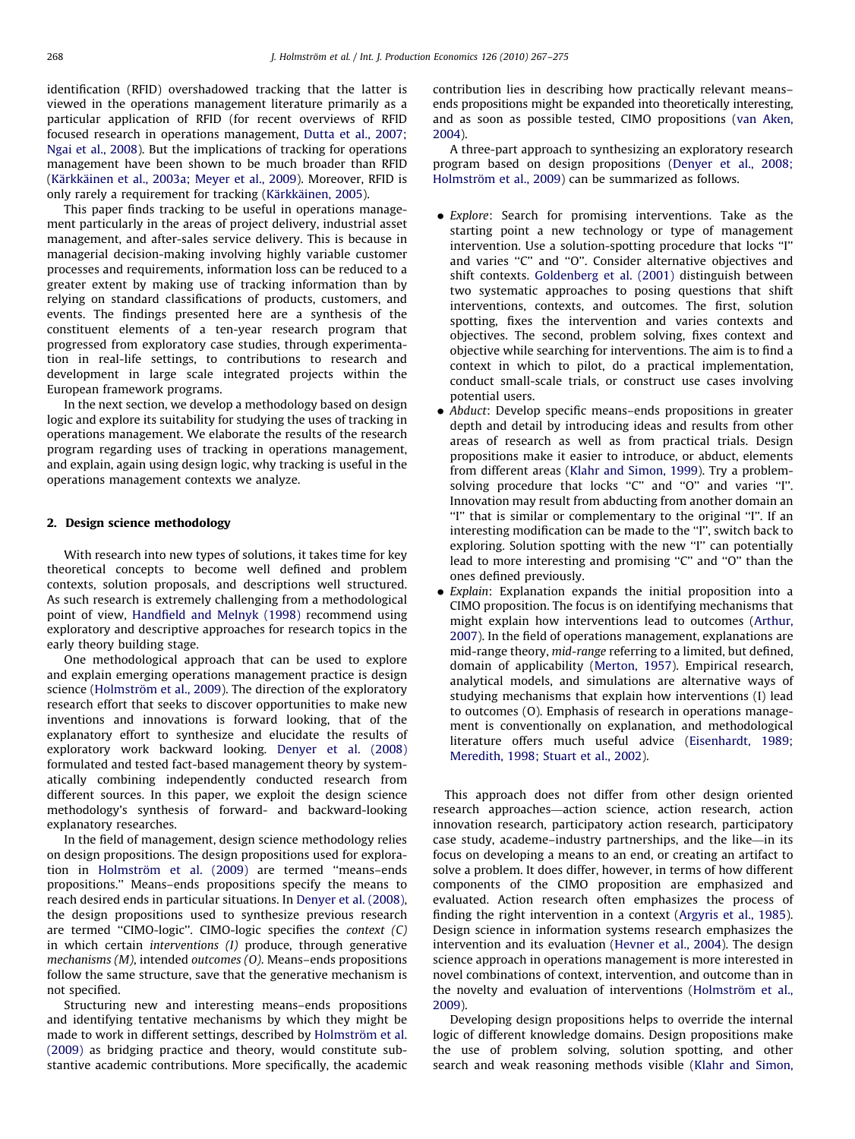identification (RFID) overshadowed tracking that the latter is viewed in the operations management literature primarily as a particular application of RFID (for recent overviews of RFID focused research in operations management, [Dutta et al., 2007;](#page--1-0) [Ngai et al., 2008\)](#page--1-0). But the implications of tracking for operations management have been shown to be much broader than RFID (Kärkkäinen et al., 2003a; Meyer et al., 2009). Moreover, RFID is only rarely a requirement for tracking (Kärkkäinen, 2005).

This paper finds tracking to be useful in operations management particularly in the areas of project delivery, industrial asset management, and after-sales service delivery. This is because in managerial decision-making involving highly variable customer processes and requirements, information loss can be reduced to a greater extent by making use of tracking information than by relying on standard classifications of products, customers, and events. The findings presented here are a synthesis of the constituent elements of a ten-year research program that progressed from exploratory case studies, through experimentation in real-life settings, to contributions to research and development in large scale integrated projects within the European framework programs.

In the next section, we develop a methodology based on design logic and explore its suitability for studying the uses of tracking in operations management. We elaborate the results of the research program regarding uses of tracking in operations management, and explain, again using design logic, why tracking is useful in the operations management contexts we analyze.

#### 2. Design science methodology

With research into new types of solutions, it takes time for key theoretical concepts to become well defined and problem contexts, solution proposals, and descriptions well structured. As such research is extremely challenging from a methodological point of view, [Handfield and Melnyk \(1998\)](#page--1-0) recommend using exploratory and descriptive approaches for research topics in the early theory building stage.

One methodological approach that can be used to explore and explain emerging operations management practice is design science [\(Holmstr](#page--1-0)ö[m et al., 2009](#page--1-0)). The direction of the exploratory research effort that seeks to discover opportunities to make new inventions and innovations is forward looking, that of the explanatory effort to synthesize and elucidate the results of exploratory work backward looking. [Denyer et al. \(2008\)](#page--1-0) formulated and tested fact-based management theory by systematically combining independently conducted research from different sources. In this paper, we exploit the design science methodology's synthesis of forward- and backward-looking explanatory researches.

In the field of management, design science methodology relies on design propositions. The design propositions used for exploration in Holmström et al. (2009) are termed "means-ends propositions.'' Means–ends propositions specify the means to reach desired ends in particular situations. In [Denyer et al. \(2008\),](#page--1-0) the design propositions used to synthesize previous research are termed ''CIMO-logic''. CIMO-logic specifies the context (C) in which certain interventions (I) produce, through generative mechanisms (M), intended outcomes (O). Means–ends propositions follow the same structure, save that the generative mechanism is not specified.

Structuring new and interesting means–ends propositions and identifying tentative mechanisms by which they might be made to work in different settings, described by Holmström et al. [\(2009\)](#page--1-0) as bridging practice and theory, would constitute substantive academic contributions. More specifically, the academic contribution lies in describing how practically relevant means– ends propositions might be expanded into theoretically interesting, and as soon as possible tested, CIMO propositions (van [Aken,](#page--1-0) [2004\)](#page--1-0).

A three-part approach to synthesizing an exploratory research program based on design propositions ([Denyer et al., 2008;](#page--1-0) Holmström et al., 2009) can be summarized as follows.

- Explore: Search for promising interventions. Take as the starting point a new technology or type of management intervention. Use a solution-spotting procedure that locks ''I'' and varies ''C'' and ''O''. Consider alternative objectives and shift contexts. [Goldenberg et al. \(2001\)](#page--1-0) distinguish between two systematic approaches to posing questions that shift interventions, contexts, and outcomes. The first, solution spotting, fixes the intervention and varies contexts and objectives. The second, problem solving, fixes context and objective while searching for interventions. The aim is to find a context in which to pilot, do a practical implementation, conduct small-scale trials, or construct use cases involving potential users.
- $\bullet$  Abduct: Develop specific means-ends propositions in greater depth and detail by introducing ideas and results from other areas of research as well as from practical trials. Design propositions make it easier to introduce, or abduct, elements from different areas [\(Klahr and Simon, 1999](#page--1-0)). Try a problemsolving procedure that locks "C" and "O" and varies "I". Innovation may result from abducting from another domain an "I" that is similar or complementary to the original "I". If an interesting modification can be made to the ''I'', switch back to exploring. Solution spotting with the new "I" can potentially lead to more interesting and promising "C" and "O" than the ones defined previously.
- Explain: Explanation expands the initial proposition into a CIMO proposition. The focus is on identifying mechanisms that might explain how interventions lead to outcomes ([Arthur,](#page--1-0) [2007\)](#page--1-0). In the field of operations management, explanations are mid-range theory, mid-range referring to a limited, but defined, domain of applicability [\(Merton, 1957](#page--1-0)). Empirical research, analytical models, and simulations are alternative ways of studying mechanisms that explain how interventions (I) lead to outcomes (O). Emphasis of research in operations management is conventionally on explanation, and methodological literature offers much useful advice [\(Eisenhardt, 1989;](#page--1-0) [Meredith, 1998; Stuart et al., 2002](#page--1-0)).

This approach does not differ from other design oriented research approaches—action science, action research, action innovation research, participatory action research, participatory case study, academe–industry partnerships, and the like—in its focus on developing a means to an end, or creating an artifact to solve a problem. It does differ, however, in terms of how different components of the CIMO proposition are emphasized and evaluated. Action research often emphasizes the process of finding the right intervention in a context [\(Argyris et al., 1985\)](#page--1-0). Design science in information systems research emphasizes the intervention and its evaluation [\(Hevner et al., 2004\)](#page--1-0). The design science approach in operations management is more interested in novel combinations of context, intervention, and outcome than in the novelty and evaluation of interventions ([Holmstr](#page--1-0)ö[m et al.,](#page--1-0) [2009\)](#page--1-0).

Developing design propositions helps to override the internal logic of different knowledge domains. Design propositions make the use of problem solving, solution spotting, and other search and weak reasoning methods visible ([Klahr and Simon,](#page--1-0)